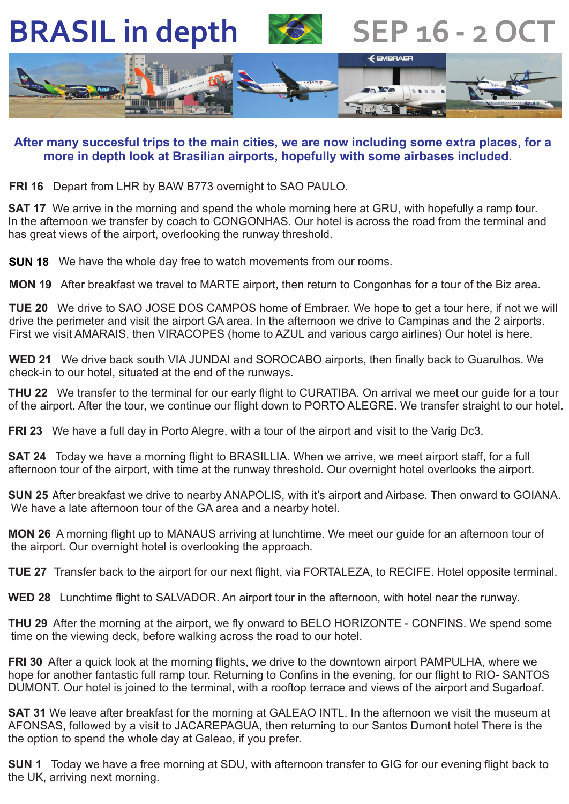**BRASIL in depth**



**SEP 16 - 2 OC** 



## **After many succesful trips to the main cities, we are now including some extra places, for a more in depth look at Brasilian airports, hopefully with some airbases included.**

**FRI 16** Depart from LHR by BAW B773 overnight to SAO PAULO.

**SAT 17** We arrive in the morning and spend the whole morning here at GRU, with hopefully a ramp tour. In the afternoon we transfer by coach to CONGONHAS. Our hotel is across the road from the terminal and has great views of the airport, overlooking the runway threshold.

**SUN 18** We have the whole day free to watch movements from our rooms.

. **MON 19** After breakfast we travel to MARTE airport, then return to Congonhas for a tour of the Biz area.

**TUE 20** We drive to SAO JOSE DOS CAMPOS home of Embraer. We hope to get a tour here, if not we will drive the perimeter and visit the airport GA area. In the afternoon we drive to Campinas and the 2 airports. First we visit AMARAIS, then VIRACOPES (home to AZUL and various cargo airlines) Our hotel is here.

**WED 21** We drive back south VIA JUNDAI and SOROCABO airports, then finally back to Guarulhos. We check-in to our hotel, situated at the end of the runways.

**THU 22** We transfer to the terminal for our early flight to CURATIBA. On arrival we meet our guide for a tour of the airport. After the tour, we continue our flight down to PORTO ALEGRE. We transfer straight to our hotel.

**FRI 23** We have a full day in Porto Alegre, with a tour of the airport and visit to the Varig Dc3.

**SAT 24** Today we have a morning flight to BRASILLIA. When we arrive, we meet airport staff, for a full afternoon tour of the airport, with time at the runway threshold. Our overnight hotel overlooks the airport.

SUN 25 After breakfast we drive to nearby ANAPOLIS, with it's airport and Airbase. Then onward to GOIANA. We have a late afternoon tour of the GA area and a nearby hotel.

**MON 26** A morning flight up to MANAUS arriving at lunchtime. We meet our guide for an afternoon tour of the airport. Our overnight hotel is overlooking the approach.

**TUE 27** Transfer back to the airport for our next flight, via FORTALEZA, to RECIFE. Hotel opposite terminal.

**WED 28** Lunchtime flight to SALVADOR. An airport tour in the afternoon, with hotel near the runway.

**THU 29** After the morning at the airport, we fly onward to BELO HORIZONTE - CONFINS. We spend some time on the viewing deck, before walking across the road to our hotel.

**FRI 30** After a quick look at the morning flights, we drive to the downtown airport PAMPULHA, where we hope for another fantastic full ramp tour. Returning to Confins in the evening, for our flight to RIO- SANTOS DUMONT. Our hotel is joined to the terminal, with a rooftop terrace and views of the airport and Sugarloaf.

**SAT 31** We leave after breakfast for the morning at GALEAO INTL. In the afternoon we visit the museum at AFONSAS, followed by a visit to JACAREPAGUA, then returning to our Santos Dumont hotel There is the the option to spend the whole day at Galeao, if you prefer.

**SUN 1** Today we have a free morning at SDU, with afternoon transfer to GIG for our evening flight back to the UK, arriving next morning.